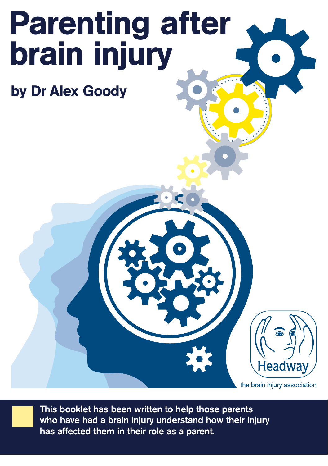# Parenting after brain injury

by Dr Alex Goody

the brain injury association

**Headway** 

**This booklet has been written to help those parents who have had a brain injury understand how their injury has affected them in their role as a parent.**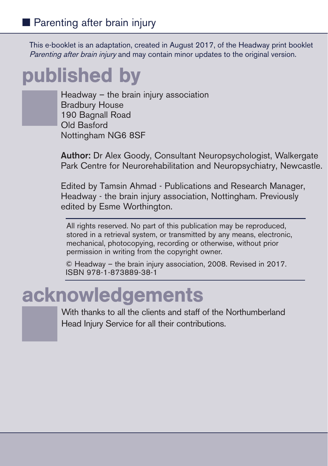This e-booklet is an adaptation, created in August 2017, of the Headway print booklet Parenting after brain injury and may contain minor updates to the original version.

## published by

Headway – the brain injury association Bradbury House 190 Bagnall Road Old Basford Nottingham NG6 8SF

**Author:** Dr Alex Goody, Consultant Neuropsychologist, Walkergate Park Centre for Neurorehabilitation and Neuropsychiatry, Newcastle.

Edited by Tamsin Ahmad - Publications and Research Manager, Headway - the brain injury association, Nottingham. Previously edited by Esme Worthington.

All rights reserved. No part of this publication may be reproduced, stored in a retrieval system, or transmitted by any means, electronic, mechanical, photocopying, recording or otherwise, without prior permission in writing from the copyright owner.

© Headway – the brain injury association, 2008. Revised in 2017. ISBN 978-1-873889-38-1

## acknowledgements

With thanks to all the clients and staff of the Northumberland Head Injury Service for all their contributions.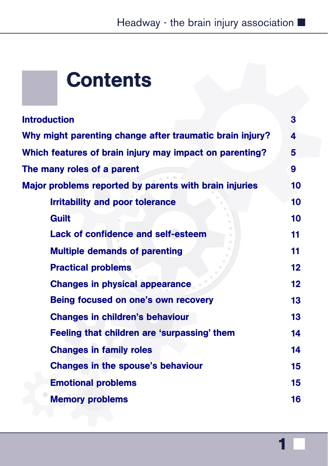## **Contents**

| 3               |
|-----------------|
| 4               |
| 5               |
| 9               |
| 10              |
| 10              |
| 10              |
| 11              |
| 11              |
| 12 <sub>2</sub> |
| 12 <sub>2</sub> |
| 13              |
| 13              |
| 14              |
| 14              |
| 15              |
| 15              |
| 16              |
|                 |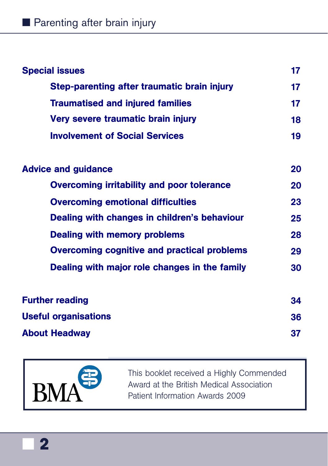| <b>Special issues</b>                              | 17 |
|----------------------------------------------------|----|
| <b>Step-parenting after traumatic brain injury</b> | 17 |
| <b>Traumatised and injured families</b>            | 17 |
| Very severe traumatic brain injury                 | 18 |
| <b>Involvement of Social Services</b>              | 19 |
| <b>Advice and guidance</b>                         | 20 |
| <b>Overcoming irritability and poor tolerance</b>  | 20 |
| <b>Overcoming emotional difficulties</b>           | 23 |
| Dealing with changes in children's behaviour       | 25 |
| <b>Dealing with memory problems</b>                | 28 |
| <b>Overcoming cognitive and practical problems</b> | 29 |
| Dealing with major role changes in the family      | 30 |
| <b>Further reading</b>                             | 34 |
| <b>Useful organisations</b>                        | 36 |
| <b>About Headway</b>                               | 37 |



■ **2**

This booklet received a Highly Commended Award at the British Medical Association Patient Information Awards 2009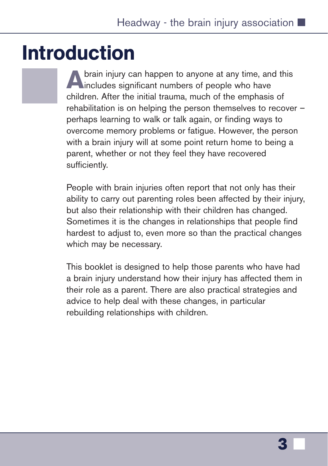## <span id="page-4-0"></span>Introduction

**A** brain injury can happen to anyone at any time, and this includes significant numbers of people who have children. After the initial trauma, much of the emphasis of rehabilitation is on helping the person themselves to recover – perhaps learning to walk or talk again, or finding ways to overcome memory problems or fatigue. However, the person with a brain injury will at some point return home to being a parent, whether or not they feel they have recovered sufficiently.

People with brain injuries often report that not only has their ability to carry out parenting roles been affected by their injury, but also their relationship with their children has changed. Sometimes it is the changes in relationships that people find hardest to adjust to, even more so than the practical changes which may be necessary.

This booklet is designed to help those parents who have had a brain injury understand how their injury has affected them in their role as a parent. There are also practical strategies and advice to help deal with these changes, in particular rebuilding relationships with children.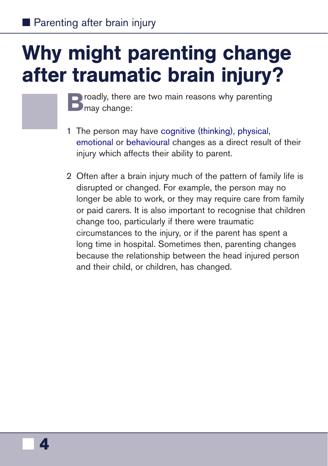## <span id="page-5-0"></span>Why might parenting change after traumatic brain injury?

**B** roadly, there are two main reasons why parenting **D** may change:

- 1 The person may have [cognitive \(thinking\)](https://www.headway.org.uk/about-brain-injury/individuals/effects-of-brain-injury/cognitive-effects/), [physical,](https://www.headway.org.uk/about-brain-injury/individuals/effects-of-brain-injury/physical-effects/) [emotional](https://www.headway.org.uk/about-brain-injury/individuals/effects-of-brain-injury/emotional-effects/) or [behavioural](https://www.headway.org.uk/about-brain-injury/individuals/effects-of-brain-injury/behavioural-effects/) changes as a direct result of their injury which affects their ability to parent.
- 2 Often after a brain injury much of the pattern of family life is disrupted or changed. For example, the person may no longer be able to work, or they may require care from family or paid carers. It is also important to recognise that children change too, particularly if there were traumatic circumstances to the injury, or if the parent has spent a long time in hospital. Sometimes then, parenting changes because the relationship between the head injured person and their child, or children, has changed.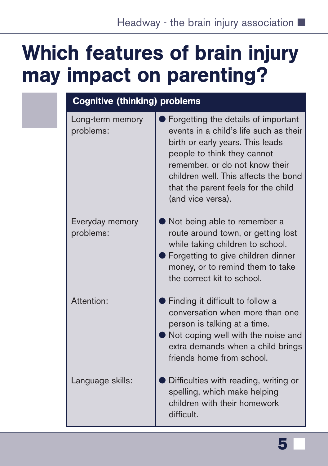## <span id="page-6-0"></span>Which features of brain injury may impact on parenting?

| <b>Cognitive (thinking) problems</b> |                                                                                                                                                                                                                                                                                        |  |
|--------------------------------------|----------------------------------------------------------------------------------------------------------------------------------------------------------------------------------------------------------------------------------------------------------------------------------------|--|
| Long-term memory<br>problems:        | Forgetting the details of important<br>events in a child's life such as their<br>birth or early years. This leads<br>people to think they cannot<br>remember, or do not know their<br>children well. This affects the bond<br>that the parent feels for the child<br>(and vice versa). |  |
| Everyday memory<br>problems:         | Not being able to remember a<br>route around town, or getting lost<br>while taking children to school.<br>Forgetting to give children dinner<br>money, or to remind them to take<br>the correct kit to school.                                                                         |  |
| Attention:                           | Finding it difficult to follow a<br>conversation when more than one<br>person is talking at a time.<br>Not coping well with the noise and<br>extra demands when a child brings<br>friends home from school.                                                                            |  |
| Language skills:                     | Difficulties with reading, writing or<br>spelling, which make helping<br>children with their homework<br>difficult.                                                                                                                                                                    |  |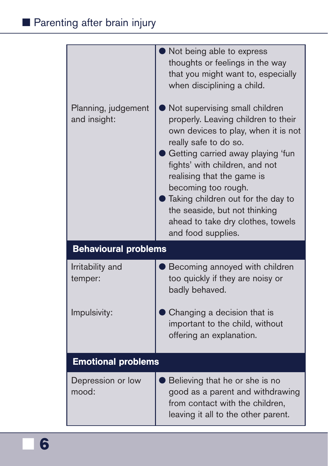|                                     | Not being able to express<br>thoughts or feelings in the way<br>that you might want to, especially<br>when disciplining a child.                                                                                                                                                                                                                                                                    |  |
|-------------------------------------|-----------------------------------------------------------------------------------------------------------------------------------------------------------------------------------------------------------------------------------------------------------------------------------------------------------------------------------------------------------------------------------------------------|--|
| Planning, judgement<br>and insight: | Not supervising small children<br>properly. Leaving children to their<br>own devices to play, when it is not<br>really safe to do so.<br>Getting carried away playing 'fun<br>fights' with children, and not<br>realising that the game is<br>becoming too rough.<br>Taking children out for the day to<br>the seaside, but not thinking<br>ahead to take dry clothes, towels<br>and food supplies. |  |
| <b>Behavioural problems</b>         |                                                                                                                                                                                                                                                                                                                                                                                                     |  |
| Irritability and<br>temper:         | Becoming annoyed with children<br>too quickly if they are noisy or<br>badly behaved.                                                                                                                                                                                                                                                                                                                |  |
| Impulsivity:                        | Changing a decision that is<br>important to the child, without<br>offering an explanation.                                                                                                                                                                                                                                                                                                          |  |
| <b>Emotional problems</b>           |                                                                                                                                                                                                                                                                                                                                                                                                     |  |
| Depression or low<br>mood:          | Believing that he or she is no<br>good as a parent and withdrawing<br>from contact with the children,<br>leaving it all to the other parent.                                                                                                                                                                                                                                                        |  |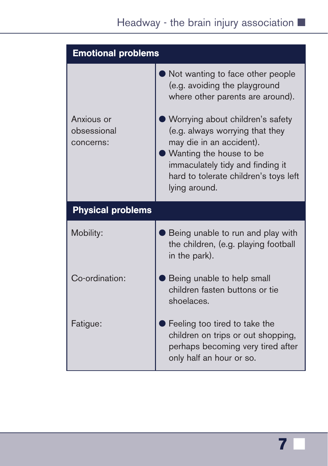| <b>Emotional problems</b>              |                                                                                                                                                                                                                                                                                                                                   |  |
|----------------------------------------|-----------------------------------------------------------------------------------------------------------------------------------------------------------------------------------------------------------------------------------------------------------------------------------------------------------------------------------|--|
| Anxious or<br>obsessional<br>concerns: | Not wanting to face other people<br>(e.g. avoiding the playground<br>where other parents are around).<br>Worrying about children's safety<br>(e.g. always worrying that they<br>may die in an accident).<br>Wanting the house to be<br>immaculately tidy and finding it<br>hard to tolerate children's toys left<br>lying around. |  |
| <b>Physical problems</b>               |                                                                                                                                                                                                                                                                                                                                   |  |
| Mobility:                              | Being unable to run and play with<br>the children, (e.g. playing football<br>in the park).                                                                                                                                                                                                                                        |  |
| Co-ordination:                         | Being unable to help small<br>children fasten buttons or tie<br>shoelaces.                                                                                                                                                                                                                                                        |  |
| Fatigue:                               | Feeling too tired to take the<br>children on trips or out shopping,<br>perhaps becoming very tired after<br>only half an hour or so.                                                                                                                                                                                              |  |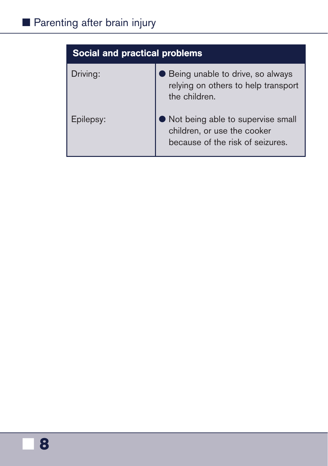| <b>Social and practical problems</b> |                                                                                                      |
|--------------------------------------|------------------------------------------------------------------------------------------------------|
| Driving:                             | Being unable to drive, so always<br>relying on others to help transport<br>the children.             |
| Epilepsy:                            | Not being able to supervise small<br>children, or use the cooker<br>because of the risk of seizures. |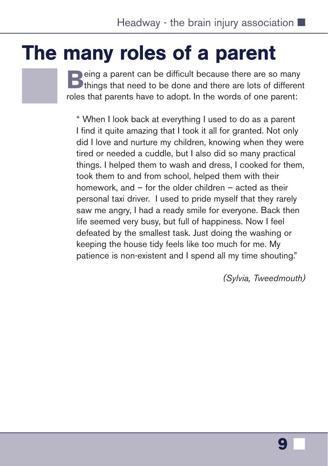## <span id="page-10-0"></span>The many roles of a parent

**B**eing a parent can be difficult because there are so many<br>
things that need to be done and there are lots of different roles that parents have to adopt. In the words of one parent:

" When I look back at everything I used to do as a parent I find it quite amazing that I took it all for granted. Not only did I love and nurture my children, knowing when they were tired or needed a cuddle, but I also did so many practical things. I helped them to wash and dress, I cooked for them, took them to and from school, helped them with their homework, and – for the older children – acted as their personal taxi driver. I used to pride myself that they rarely saw me angry, I had a ready smile for everyone. Back then life seemed very busy, but full of happiness. Now I feel defeated by the smallest task. Just doing the washing or keeping the house tidy feels like too much for me. My patience is non-existent and I spend all my time shouting."

*(Sylvia, Tweedmouth)*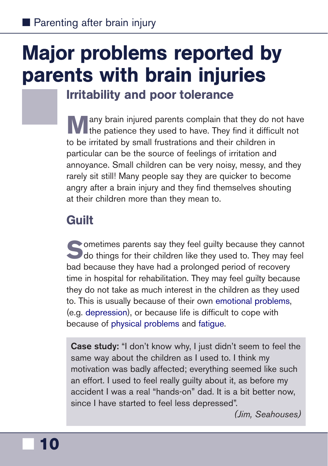## <span id="page-11-0"></span>Major problems reported by parents with brain injuries

Irritability and poor tolerance

any brain injured parents complain that they do not have the patience they used to have. They find it difficult not to be irritated by small frustrations and their children in particular can be the source of feelings of irritation and annoyance. Small children can be very noisy, messy, and they rarely sit still! Many people say they are quicker to become angry after a brain injury and they find themselves shouting at their children more than they mean to.

## **Guilt**

Sometimes parents say they feel guilty because they cannot<br>do things for their children like they used to. They may feel bad because they have had a prolonged period of recovery time in hospital for rehabilitation. They may feel guilty because they do not take as much interest in the children as they used to. This is usually because of their own [emotional problems](https://www.headway.org.uk/about-brain-injury/individuals/effects-of-brain-injury/emotional-effects/), (e.g. [depression\)](https://www.headway.org.uk/media/4712/depression-after-brain-injury-factsheet.pdf), or because life is difficult to cope with because of [physical problems](https://www.headway.org.uk/about-brain-injury/individuals/effects-of-brain-injury/physical-effects/) and [fatigue.](https://www.headway.org.uk/media/3995/managing-fatigue-e-booklet.pdf)

**Case study:** "I don't know why, I just didn't seem to feel the same way about the children as I used to. I think my motivation was badly affected; everything seemed like such an effort. I used to feel really guilty about it, as before my accident I was a real "hands-on" dad. It is a bit better now, since I have started to feel less depressed".

*(Jim, Seahouses)*

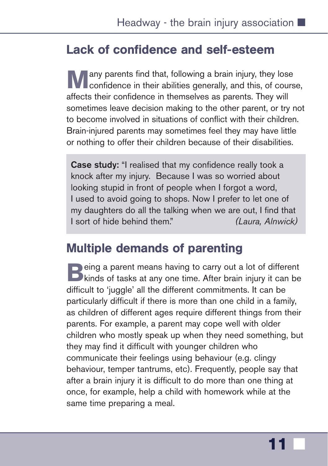## <span id="page-12-0"></span>Lack of confidence and self-esteem

any parents find that, following a brain injury, they lose **Confidence in their abilities generally, and this, of course,** affects their confidence in themselves as parents. They will sometimes leave decision making to the other parent, or try not to become involved in situations of conflict with their children. Brain-injured parents may sometimes feel they may have little or nothing to offer their children because of their disabilities.

**Case study:** "I realised that my confidence really took a knock after my injury. Because I was so worried about looking stupid in front of people when I forgot a word, I used to avoid going to shops. Now I prefer to let one of my daughters do all the talking when we are out, I find that I sort of hide behind them." *(Laura, Alnwick)*

## Multiple demands of parenting

**B**eing a parent means having to carry out a lot of different<br>kinds of tasks at any one time. After brain injury it can be difficult to 'juggle' all the different commitments. It can be particularly difficult if there is more than one child in a family, as children of different ages require different things from their parents. For example, a parent may cope well with older children who mostly speak up when they need something, but they may find it difficult with younger children who communicate their feelings using behaviour (e.g. clingy behaviour, temper tantrums, etc). Frequently, people say that after a brain injury it is difficult to do more than one thing at once, for example, help a child with homework while at the same time preparing a meal.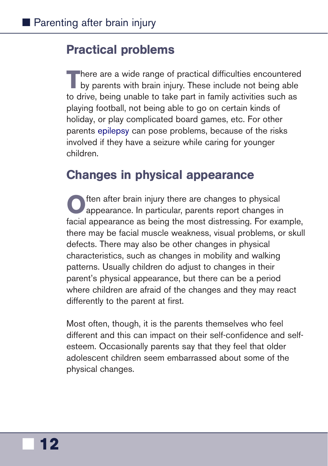### <span id="page-13-0"></span>Practical problems

**T**here are a wide range of practical difficulties encountered by parents with brain injury. These include not being able to drive, being unable to take part in family activities such as playing football, not being able to go on certain kinds of holiday, or play complicated board games, etc. For other parents [epilepsy](https://www.headway.org.uk/media/2800/epilepsy-after-brain-injury-factsheet.pdf) can pose problems, because of the risks involved if they have a seizure while caring for younger children.

### Changes in physical appearance

ften after brain injury there are changes to physical appearance. In particular, parents report changes in facial appearance as being the most distressing. For example, there may be facial muscle weakness, visual problems, or skull defects. There may also be other changes in physical characteristics, such as changes in mobility and walking patterns. Usually children do adjust to changes in their parent's physical appearance, but there can be a period where children are afraid of the changes and they may react differently to the parent at first.

Most often, though, it is the parents themselves who feel different and this can impact on their self-confidence and selfesteem. Occasionally parents say that they feel that older adolescent children seem embarrassed about some of the physical changes.

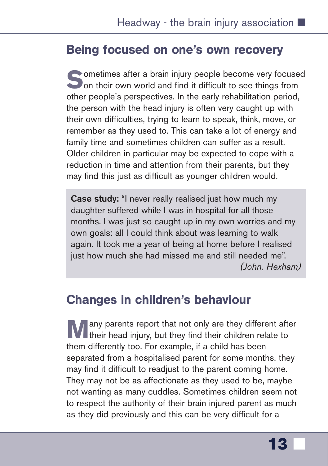## <span id="page-14-0"></span>Being focused on one's own recovery

Sometimes after a brain injury people become very focused<br>
on their own world and find it difficult to see things from other people's perspectives. In the early rehabilitation period, the person with the head injury is often very caught up with their own difficulties, trying to learn to speak, think, move, or remember as they used to. This can take a lot of energy and family time and sometimes children can suffer as a result. Older children in particular may be expected to cope with a reduction in time and attention from their parents, but they may find this just as difficult as younger children would.

**Case study:** "I never really realised just how much my daughter suffered while I was in hospital for all those months. I was just so caught up in my own worries and my own goals: all I could think about was learning to walk again. It took me a year of being at home before I realised just how much she had missed me and still needed me". *(John, Hexham)*

### Changes in children's behaviour

any parents report that not only are they different after their head injury, but they find their children relate to them differently too. For example, if a child has been separated from a hospitalised parent for some months, they may find it difficult to readjust to the parent coming home. They may not be as affectionate as they used to be, maybe not wanting as many cuddles. Sometimes children seem not to respect the authority of their brain injured parent as much as they did previously and this can be very difficult for a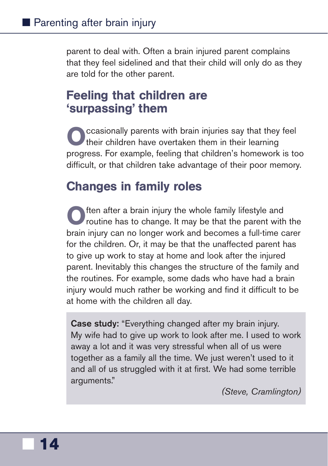<span id="page-15-0"></span>parent to deal with. Often a brain injured parent complains that they feel sidelined and that their child will only do as they are told for the other parent.

## Feeling that children are 'surpassing' them

**O**ccasionally parents with brain injuries say that they feel their children have overtaken them in their learning progress. For example, feeling that children's homework is too difficult, or that children take advantage of their poor memory.

## Changes in family roles

**O**ften after a brain injury the whole family lifestyle and routine has to change. It may be that the parent with the brain injury can no longer work and becomes a full-time carer for the children. Or, it may be that the unaffected parent has to give up work to stay at home and look after the injured parent. Inevitably this changes the structure of the family and the routines. For example, some dads who have had a brain injury would much rather be working and find it difficult to be at home with the children all day.

**Case study:** "Everything changed after my brain injury. My wife had to give up work to look after me. I used to work away a lot and it was very stressful when all of us were together as a family all the time. We just weren't used to it and all of us struggled with it at first. We had some terrible arguments."

*(Steve, Cramlington)*

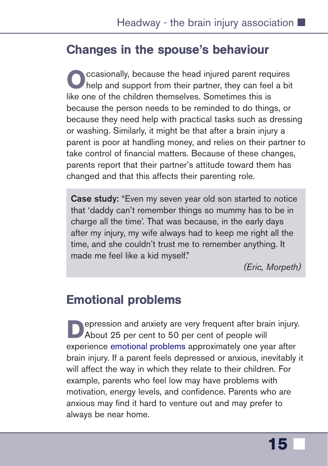### <span id="page-16-0"></span>Changes in the spouse's behaviour

**O**ccasionally, because the head injured parent requires<br>help and support from their partner, they can feel a bit like one of the children themselves. Sometimes this is because the person needs to be reminded to do things, or because they need help with practical tasks such as dressing or washing. Similarly, it might be that after a brain injury a parent is poor at handling money, and relies on their partner to take control of financial matters. Because of these changes, parents report that their partner's attitude toward them has changed and that this affects their parenting role.

**Case study:** "Even my seven year old son started to notice that 'daddy can't remember things so mummy has to be in charge all the time'. That was because, in the early days after my injury, my wife always had to keep me right all the time, and she couldn't trust me to remember anything. It made me feel like a kid myself."

*(Eric, Morpeth)*

### Emotional problems

**Pression and anxiety are very frequent after brain injury.** About 25 per cent to 50 per cent of people will experience [emotional problems](https://www.headway.org.uk/about-brain-injury/individuals/effects-of-brain-injury/emotional-effects/) approximately one year after brain injury. If a parent feels depressed or anxious, inevitably it will affect the way in which they relate to their children. For example, parents who feel low may have problems with motivation, energy levels, and confidence. Parents who are anxious may find it hard to venture out and may prefer to always be near home.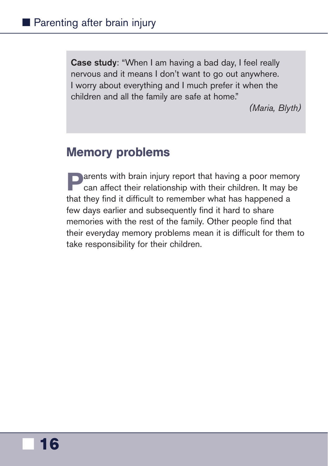<span id="page-17-0"></span>**Case study**: "When I am having a bad day, I feel really nervous and it means I don't want to go out anywhere. I worry about everything and I much prefer it when the children and all the family are safe at home."

*(Maria, Blyth)*

### Memory problems

**Parents with brain injury report that having a poor memory**<br>can affect their relationship with their children. It may be that they find it difficult to remember what has happened a few days earlier and subsequently find it hard to share memories with the rest of the family. Other people find that their everyday memory problems mean it is difficult for them to take responsibility for their children.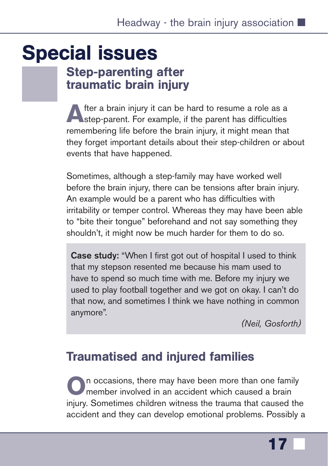## <span id="page-18-0"></span>Special issues

## Step-parenting after traumatic brain injury

After a brain injury it can be hard to resume a role as a step-parent. For example, if the parent has difficulties remembering life before the brain injury, it might mean that they forget important details about their step-children or about events that have happened.

Sometimes, although a step-family may have worked well before the brain injury, there can be tensions after brain injury. An example would be a parent who has difficulties with irritability or temper control. Whereas they may have been able to "bite their tongue" beforehand and not say something they shouldn't, it might now be much harder for them to do so.

**Case study:** "When I first got out of hospital I used to think that my stepson resented me because his mam used to have to spend so much time with me. Before my injury we used to play football together and we got on okay. I can't do that now, and sometimes I think we have nothing in common anymore".

*(Neil, Gosforth)*

## Traumatised and injured families

**O**n occasions, there may have been more than one family member involved in an accident which caused a brain injury. Sometimes children witness the trauma that caused the accident and they can develop emotional problems. Possibly a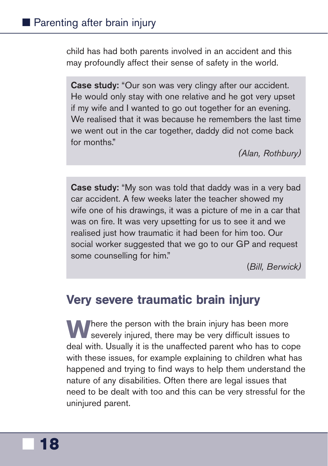<span id="page-19-0"></span>child has had both parents involved in an accident and this may profoundly affect their sense of safety in the world.

**Case study:** "Our son was very clingy after our accident. He would only stay with one relative and he got very upset if my wife and I wanted to go out together for an evening. We realised that it was because he remembers the last time we went out in the car together, daddy did not come back for months."

*(Alan, Rothbury)*

**Case study:** "My son was told that daddy was in a very bad car accident. A few weeks later the teacher showed my wife one of his drawings, it was a picture of me in a car that was on fire. It was very upsetting for us to see it and we realised just how traumatic it had been for him too. Our social worker suggested that we go to our GP and request some counselling for him."

(*Bill, Berwick)*

## Very severe traumatic brain injury

**Where the person with the brain injury has been more** severely injured, there may be very difficult issues to deal with. Usually it is the unaffected parent who has to cope with these issues, for example explaining to children what has happened and trying to find ways to help them understand the nature of any disabilities. Often there are legal issues that need to be dealt with too and this can be very stressful for the uninjured parent.

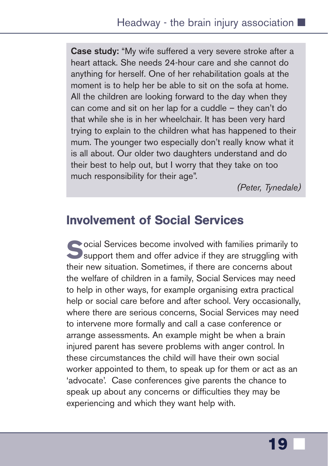<span id="page-20-0"></span>**Case study:** "My wife suffered a very severe stroke after a heart attack. She needs 24-hour care and she cannot do anything for herself. One of her rehabilitation goals at the moment is to help her be able to sit on the sofa at home. All the children are looking forward to the day when they can come and sit on her lap for a cuddle – they can't do that while she is in her wheelchair. It has been very hard trying to explain to the children what has happened to their mum. The younger two especially don't really know what it is all about. Our older two daughters understand and do their best to help out, but I worry that they take on too much responsibility for their age".

*(Peter, Tynedale)*

### Involvement of Social Services

**Social Services become involved with families primarily to support them and offer advice if they are struggling with** their new situation. Sometimes, if there are concerns about the welfare of children in a family, Social Services may need to help in other ways, for example organising extra practical help or social care before and after school. Very occasionally, where there are serious concerns, Social Services may need to intervene more formally and call a case conference or arrange assessments. An example might be when a brain injured parent has severe problems with anger control. In these circumstances the child will have their own social worker appointed to them, to speak up for them or act as an 'advocate'. Case conferences give parents the chance to speak up about any concerns or difficulties they may be experiencing and which they want help with.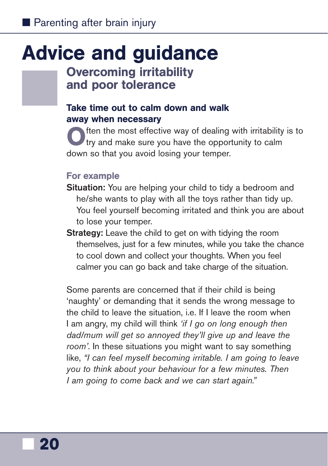## <span id="page-21-0"></span>Advice and guidance

### Overcoming irritability and poor tolerance

### Take time out to calm down and walk away when necessary

**O**ften the most effective way of dealing with irritability is to try and make sure you have the opportunity to calm down so that you avoid losing your temper.

#### For example

- **Situation:** You are helping your child to tidy a bedroom and he/she wants to play with all the toys rather than tidy up. You feel yourself becoming irritated and think you are about to lose your temper.
- **Strategy:** Leave the child to get on with tidying the room themselves, just for a few minutes, while you take the chance to cool down and collect your thoughts. When you feel calmer you can go back and take charge of the situation.

Some parents are concerned that if their child is being 'naughty' or demanding that it sends the wrong message to the child to leave the situation, i.e. If I leave the room when I am angry, my child will think *'if I go on long enough then dad/mum will get so annoyed they'll give up and leave the room'*. In these situations you might want to say something like, *"I can feel myself becoming irritable. I am going to leave you to think about your behaviour for a few minutes. Then I am going to come back and we can start again."*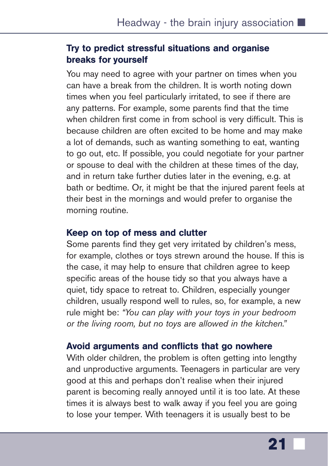#### Try to predict stressful situations and organise breaks for yourself

You may need to agree with your partner on times when you can have a break from the children. It is worth noting down times when you feel particularly irritated, to see if there are any patterns. For example, some parents find that the time when children first come in from school is very difficult. This is because children are often excited to be home and may make a lot of demands, such as wanting something to eat, wanting to go out, etc. If possible, you could negotiate for your partner or spouse to deal with the children at these times of the day, and in return take further duties later in the evening, e.g. at bath or bedtime. Or, it might be that the injured parent feels at their best in the mornings and would prefer to organise the morning routine.

#### Keep on top of mess and clutter

Some parents find they get very irritated by children's mess, for example, clothes or toys strewn around the house. If this is the case, it may help to ensure that children agree to keep specific areas of the house tidy so that you always have a quiet, tidy space to retreat to. Children, especially younger children, usually respond well to rules, so, for example, a new rule might be: *"You can play with your toys in your bedroom or the living room, but no toys are allowed in the kitchen."*

#### Avoid arguments and conflicts that go nowhere

With older children, the problem is often getting into lengthy and unproductive arguments. Teenagers in particular are very good at this and perhaps don't realise when their injured parent is becoming really annoyed until it is too late. At these times it is always best to walk away if you feel you are going to lose your temper. With teenagers it is usually best to be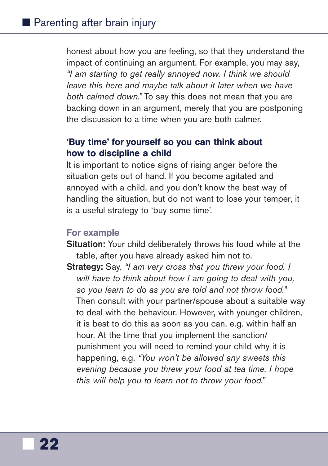honest about how you are feeling, so that they understand the impact of continuing an argument. For example, you may say, *"I am starting to get really annoyed now. I think we should leave this here and maybe talk about it later when we have both calmed down."* To say this does not mean that you are backing down in an argument, merely that you are postponing the discussion to a time when you are both calmer.

#### 'Buy time' for yourself so you can think about how to discipline a child

It is important to notice signs of rising anger before the situation gets out of hand. If you become agitated and annoyed with a child, and you don't know the best way of handling the situation, but do not want to lose your temper, it is a useful strategy to 'buy some time'.

#### For example

- **Situation:** Your child deliberately throws his food while at the table, after you have already asked him not to.
- **Strategy:** Say, *"I am very cross that you threw your food. I will have to think about how I am going to deal with you, so you learn to do as you are told and not throw food.*" Then consult with your partner/spouse about a suitable way to deal with the behaviour. However, with younger children, it is best to do this as soon as you can, e.g. within half an hour. At the time that you implement the sanction/ punishment you will need to remind your child why it is happening, e.g. *"You won't be allowed any sweets this evening because you threw your food at tea time. I hope this will help you to learn not to throw your food."*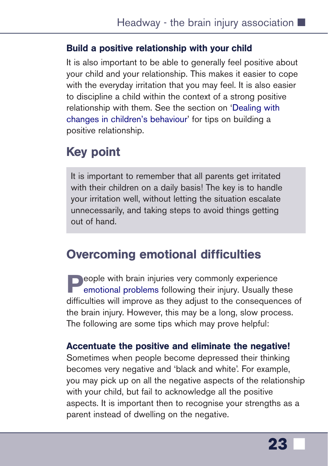#### <span id="page-24-0"></span>Build a positive relationship with your child

It is also important to be able to generally feel positive about your child and your relationship. This makes it easier to cope with the everyday irritation that you may feel. It is also easier to discipline a child within the context of a strong positive relationship with them. See the section on '[Dealing with](#page-26-0) [changes in children's behaviour'](#page-26-0) for tips on building a positive relationship.

## Key point

It is important to remember that all parents get irritated with their children on a daily basis! The key is to handle your irritation well, without letting the situation escalate unnecessarily, and taking steps to avoid things getting out of hand.

## Overcoming emotional difficulties

**Prople with brain injuries very commonly experience** [emotional problems](https://www.headway.org.uk/about-brain-injury/individuals/effects-of-brain-injury/emotional-effects/) following their injury. Usually these difficulties will improve as they adjust to the consequences of the brain injury. However, this may be a long, slow process. The following are some tips which may prove helpful:

#### Accentuate the positive and eliminate the negative!

Sometimes when people become depressed their thinking becomes very negative and 'black and white'. For example, you may pick up on all the negative aspects of the relationship with your child, but fail to acknowledge all the positive aspects. It is important then to recognise your strengths as a parent instead of dwelling on the negative.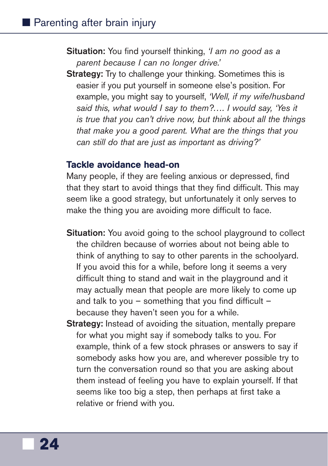- **Situation:** You find yourself thinking, *'I am no good as a parent because I can no longer drive.'*
- **Strategy:** Try to challenge your thinking. Sometimes this is easier if you put yourself in someone else's position. For example, you might say to yourself, *'Well, if my wife/husband said this, what would I say to them?…. I would say, 'Yes it is true that you can't drive now, but think about all the things that make you a good parent. What are the things that you can still do that are just as important as driving?'*

#### Tackle avoidance head-on

Many people, if they are feeling anxious or depressed, find that they start to avoid things that they find difficult. This may seem like a good strategy, but unfortunately it only serves to make the thing you are avoiding more difficult to face.

- **Situation:** You avoid going to the school playground to collect the children because of worries about not being able to think of anything to say to other parents in the schoolyard. If you avoid this for a while, before long it seems a very difficult thing to stand and wait in the playground and it may actually mean that people are more likely to come up and talk to you  $-$  something that you find difficult  $$ because they haven't seen you for a while.
- **Strategy:** Instead of avoiding the situation, mentally prepare for what you might say if somebody talks to you. For example, think of a few stock phrases or answers to say if somebody asks how you are, and wherever possible try to turn the conversation round so that you are asking about them instead of feeling you have to explain yourself. If that seems like too big a step, then perhaps at first take a relative or friend with you.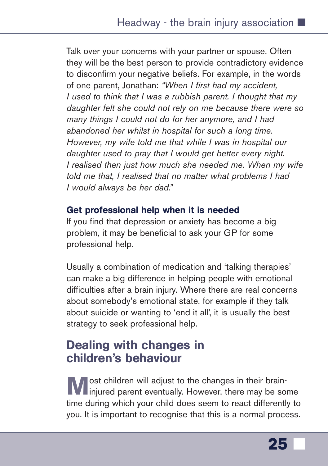<span id="page-26-0"></span>Talk over your concerns with your partner or spouse. Often they will be the best person to provide contradictory evidence to disconfirm your negative beliefs. For example, in the words of one parent, Jonathan: *"When I first had my accident, I used to think that I was a rubbish parent. I thought that my daughter felt she could not rely on me because there were so many things I could not do for her anymore, and I had abandoned her whilst in hospital for such a long time. However, my wife told me that while I was in hospital our daughter used to pray that I would get better every night. I realised then just how much she needed me. When my wife told me that, I realised that no matter what problems I had I would always be her dad."* 

#### Get professional help when it is needed

If you find that depression or anxiety has become a big problem, it may be beneficial to ask your GP for some professional help.

Usually a combination of medication and 'talking therapies' can make a big difference in helping people with emotional difficulties after a brain injury. Where there are real concerns about somebody's emotional state, for example if they talk about suicide or wanting to 'end it all', it is usually the best strategy to seek professional help.

## Dealing with changes in children's behaviour

**M** ost children will adjust to the changes in their brain-<br>injured parent eventually. However, there may be some time during which your child does seem to react differently to you. It is important to recognise that this is a normal process.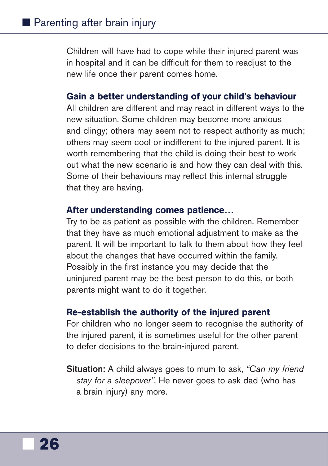Children will have had to cope while their injured parent was in hospital and it can be difficult for them to readjust to the new life once their parent comes home.

#### Gain a better understanding of your child's behaviour

All children are different and may react in different ways to the new situation. Some children may become more anxious and clingy; others may seem not to respect authority as much; others may seem cool or indifferent to the injured parent. It is worth remembering that the child is doing their best to work out what the new scenario is and how they can deal with this. Some of their behaviours may reflect this internal struggle that they are having.

#### After understanding comes patience…

Try to be as patient as possible with the children. Remember that they have as much emotional adjustment to make as the parent. It will be important to talk to them about how they feel about the changes that have occurred within the family. Possibly in the first instance you may decide that the uninjured parent may be the best person to do this, or both parents might want to do it together.

#### Re-establish the authority of the injured parent

For children who no longer seem to recognise the authority of the injured parent, it is sometimes useful for the other parent to defer decisions to the brain-injured parent.

**Situation:** A child always goes to mum to ask, *"Can my friend stay for a sleepover"*. He never goes to ask dad (who has a brain injury) any more.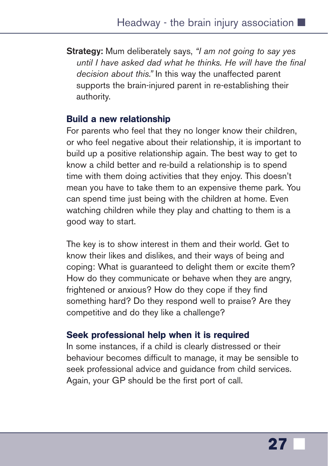**Strategy:** Mum deliberately says, *"I am not going to say yes until I have asked dad what he thinks. He will have the final decision about this."* In this way the unaffected parent supports the brain-injured parent in re-establishing their authority.

#### Build a new relationship

For parents who feel that they no longer know their children, or who feel negative about their relationship, it is important to build up a positive relationship again. The best way to get to know a child better and re-build a relationship is to spend time with them doing activities that they enjoy. This doesn't mean you have to take them to an expensive theme park. You can spend time just being with the children at home. Even watching children while they play and chatting to them is a good way to start.

The key is to show interest in them and their world. Get to know their likes and dislikes, and their ways of being and coping: What is guaranteed to delight them or excite them? How do they communicate or behave when they are angry, frightened or anxious? How do they cope if they find something hard? Do they respond well to praise? Are they competitive and do they like a challenge?

#### Seek professional help when it is required

In some instances, if a child is clearly distressed or their behaviour becomes difficult to manage, it may be sensible to seek professional advice and guidance from child services. Again, your GP should be the first port of call.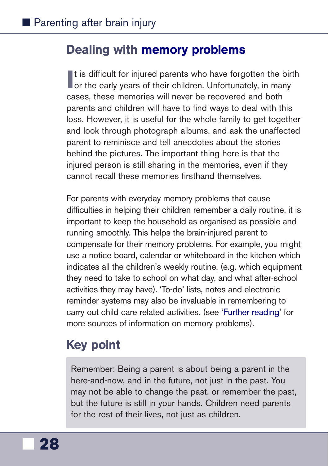### <span id="page-29-0"></span>Dealing with [memory problems](https://www.headway.org.uk/media/3996/memory-problems-after-brain-injury-e-booklet.pdf)

It is difficult for injured parents who have forgotten the bildren. Unfortunately, in many It is difficult for injured parents who have forgotten the birth cases, these memories will never be recovered and both parents and children will have to find ways to deal with this loss. However, it is useful for the whole family to get together and look through photograph albums, and ask the unaffected parent to reminisce and tell anecdotes about the stories behind the pictures. The important thing here is that the injured person is still sharing in the memories, even if they cannot recall these memories firsthand themselves.

For parents with everyday memory problems that cause difficulties in helping their children remember a daily routine, it is important to keep the household as organised as possible and running smoothly. This helps the brain-injured parent to compensate for their memory problems. For example, you might use a notice board, calendar or whiteboard in the kitchen which indicates all the children's weekly routine, (e.g. which equipment they need to take to school on what day, and what after-school activities they may have). 'To-do' lists, notes and electronic reminder systems may also be invaluable in remembering to carry out child care related activities. (see ['Further reading'](#page-35-0) for more sources of information on memory problems).

## Key point

Remember: Being a parent is about being a parent in the here-and-now, and in the future, not just in the past. You may not be able to change the past, or remember the past, but the future is still in your hands. Children need parents for the rest of their lives, not just as children.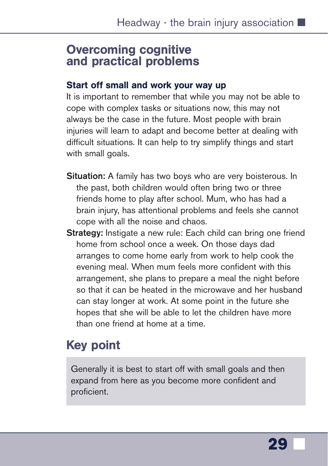### <span id="page-30-0"></span>Overcoming cognitive and practical problems

#### Start off small and work your way up

It is important to remember that while you may not be able to cope with complex tasks or situations now, this may not always be the case in the future. Most people with brain injuries will learn to adapt and become better at dealing with difficult situations. It can help to try simplify things and start with small goals.

- **Situation:** A family has two boys who are very boisterous. In the past, both children would often bring two or three friends home to play after school. Mum, who has had a brain injury, has attentional problems and feels she cannot cope with all the noise and chaos.
- **Strategy:** Instigate a new rule: Each child can bring one friend home from school once a week. On those days dad arranges to come home early from work to help cook the evening meal. When mum feels more confident with this arrangement, she plans to prepare a meal the night before so that it can be heated in the microwave and her husband can stay longer at work. At some point in the future she hopes that she will be able to let the children have more than one friend at home at a time.

## Key point

Generally it is best to start off with small goals and then expand from here as you become more confident and proficient.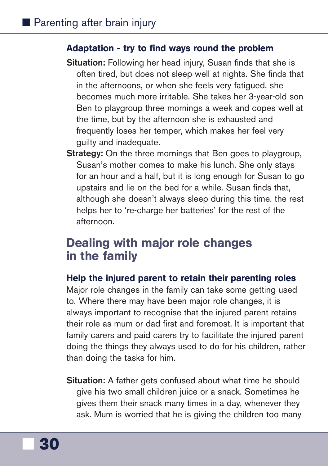#### <span id="page-31-0"></span>Adaptation - try to find ways round the problem

- **Situation:** Following her head injury, Susan finds that she is often tired, but does not sleep well at nights. She finds that in the afternoons, or when she feels very fatigued, she becomes much more irritable. She takes her 3-year-old son Ben to playgroup three mornings a week and copes well at the time, but by the afternoon she is exhausted and frequently loses her temper, which makes her feel very guilty and inadequate.
- **Strategy:** On the three mornings that Ben goes to playgroup, Susan's mother comes to make his lunch. She only stays for an hour and a half, but it is long enough for Susan to go upstairs and lie on the bed for a while. Susan finds that, although she doesn't always sleep during this time, the rest helps her to 're-charge her batteries' for the rest of the afternoon.

### Dealing with major role changes in the family

#### Help the injured parent to retain their parenting roles

Major role changes in the family can take some getting used to. Where there may have been major role changes, it is always important to recognise that the injured parent retains their role as mum or dad first and foremost. It is important that family carers and paid carers try to facilitate the injured parent doing the things they always used to do for his children, rather than doing the tasks for him.

**Situation:** A father gets confused about what time he should give his two small children juice or a snack. Sometimes he gives them their snack many times in a day, whenever they ask. Mum is worried that he is giving the children too many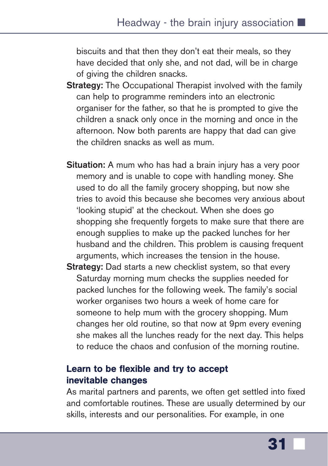biscuits and that then they don't eat their meals, so they have decided that only she, and not dad, will be in charge of giving the children snacks.

- **Strategy:** The Occupational Therapist involved with the family can help to programme reminders into an electronic organiser for the father, so that he is prompted to give the children a snack only once in the morning and once in the afternoon. Now both parents are happy that dad can give the children snacks as well as mum.
- **Situation:** A mum who has had a brain injury has a very poor memory and is unable to cope with handling money. She used to do all the family grocery shopping, but now she tries to avoid this because she becomes very anxious about 'looking stupid' at the checkout. When she does go shopping she frequently forgets to make sure that there are enough supplies to make up the packed lunches for her husband and the children. This problem is causing frequent arguments, which increases the tension in the house.
- **Strategy:** Dad starts a new checklist system, so that every Saturday morning mum checks the supplies needed for packed lunches for the following week. The family's social worker organises two hours a week of home care for someone to help mum with the grocery shopping. Mum changes her old routine, so that now at 9pm every evening she makes all the lunches ready for the next day. This helps to reduce the chaos and confusion of the morning routine.

#### Learn to be flexible and try to accept inevitable changes

As marital partners and parents, we often get settled into fixed and comfortable routines. These are usually determined by our skills, interests and our personalities. For example, in one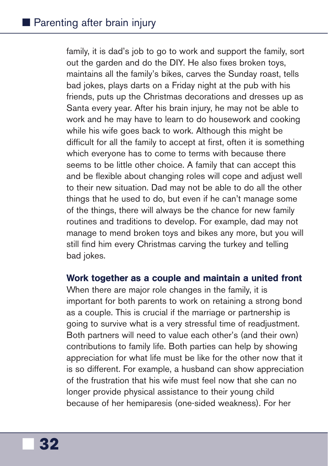family, it is dad's job to go to work and support the family, sort out the garden and do the DIY. He also fixes broken toys, maintains all the family's bikes, carves the Sunday roast, tells bad jokes, plays darts on a Friday night at the pub with his friends, puts up the Christmas decorations and dresses up as Santa every year. After his brain injury, he may not be able to work and he may have to learn to do housework and cooking while his wife goes back to work. Although this might be difficult for all the family to accept at first, often it is something which everyone has to come to terms with because there seems to be little other choice. A family that can accept this and be flexible about changing roles will cope and adjust well to their new situation. Dad may not be able to do all the other things that he used to do, but even if he can't manage some of the things, there will always be the chance for new family routines and traditions to develop. For example, dad may not manage to mend broken toys and bikes any more, but you will still find him every Christmas carving the turkey and telling bad jokes.

#### Work together as a couple and maintain a united front

When there are major role changes in the family, it is important for both parents to work on retaining a strong bond as a couple. This is crucial if the marriage or partnership is going to survive what is a very stressful time of readjustment. Both partners will need to value each other's (and their own) contributions to family life. Both parties can help by showing appreciation for what life must be like for the other now that it is so different. For example, a husband can show appreciation of the frustration that his wife must feel now that she can no longer provide physical assistance to their young child because of her hemiparesis (one-sided weakness). For her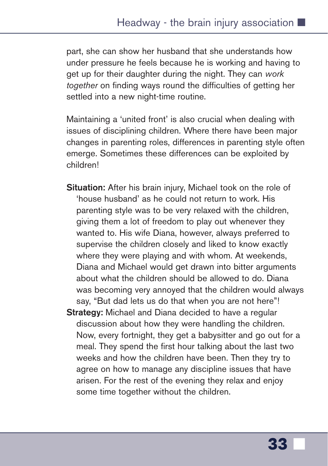part, she can show her husband that she understands how under pressure he feels because he is working and having to get up for their daughter during the night. They can *work together* on finding ways round the difficulties of getting her settled into a new night-time routine.

Maintaining a 'united front' is also crucial when dealing with issues of disciplining children. Where there have been major changes in parenting roles, differences in parenting style often emerge. Sometimes these differences can be exploited by children!

- **Situation:** After his brain injury, Michael took on the role of 'house husband' as he could not return to work. His parenting style was to be very relaxed with the children, giving them a lot of freedom to play out whenever they wanted to. His wife Diana, however, always preferred to supervise the children closely and liked to know exactly where they were playing and with whom. At weekends, Diana and Michael would get drawn into bitter arguments about what the children should be allowed to do. Diana was becoming very annoyed that the children would always say, "But dad lets us do that when you are not here"!
- **Strategy:** Michael and Diana decided to have a regular discussion about how they were handling the children. Now, every fortnight, they get a babysitter and go out for a meal. They spend the first hour talking about the last two weeks and how the children have been. Then they try to agree on how to manage any discipline issues that have arisen. For the rest of the evening they relax and enjoy some time together without the children.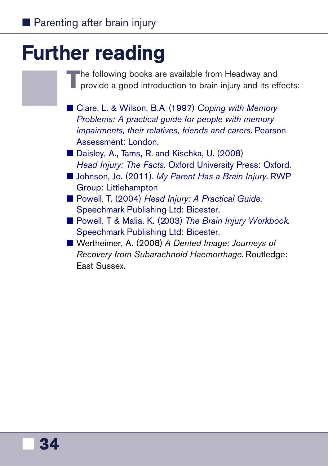## <span id="page-35-0"></span>Further reading

The following books are available from Headway and provide a good introduction to brain injury and its effects:

- Clare, L. & Wilson, B.A. (1997) *Coping with Memory [Problems: A practical guide for people with memory](https://shop.headway.org.uk/shop/coping-with-memory-problems/c-24/p-234) impairments, their relatives, friends and carers.* Pearson Assessment: London.
- [Daisley, A., Tams, R. and Kischka, U. \(2008\)](https://shop.headway.org.uk/shop/head-injury-the-facts/c-24/p-237) *Head Injury: The Facts.* Oxford University Press: Oxford.
- Johnson, Jo. (2011). *My Parent Has a Brain Injury*. RWP Group: Littlehampton
- Powell, T. (2004) *Head Injury: A Practical Guide.* [Speechmark Publishing Ltd: Bicester.](https://shop.headway.org.uk/shop/head-injury-a-practical-guide/c-24/p-236)
- Powell, T & Malia. K. (2003) *The Brain Injury Workbook.* [Speechmark Publishing Ltd: Bicester.](https://shop.headway.org.uk/shop/the-brain-injury-workbook/c-24/p-253)
- Wertheimer, A. (2008) *A Dented Image: Journeys of Recovery from Subarachnoid Haemorrhage.* Routledge: East Sussex.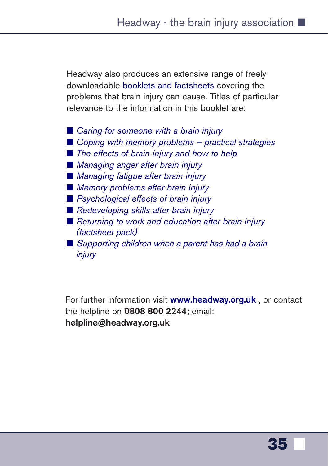Headway also produces an extensive range of freely downloadable [booklets and factsheets](https://www.headway.org.uk/about-brain-injury/individuals/information-library/) covering the problems that brain injury can cause. Titles of particular relevance to the information in this booklet are:

■ *[Caring for someone with a brain injury](https://www.headway.org.uk/media/3989/caring-for-someone-with-a-brain-injury-e-booklet.pdf)* ■ *[Coping with memory problems – practical strategies](https://www.headway.org.uk/media/2797/coping-with-memory-problems-practical-strategies-factsheet.pdf)* ■ *[The effects of brain injury and how to help](https://www.headway.org.uk/media/4003/the-effects-of-brain-injury-e-booklet.pdf)* ■ *[Managing anger after brain injury](https://www.headway.org.uk/media/3994/managing-anger-e-booklet.pdf)* ■ *[Managing fatigue after brain injury](https://www.headway.org.uk/media/3995/managing-fatigue-e-booklet.pdf)* ■ *[Memory problems after brain injury](https://www.headway.org.uk/media/3996/memory-problems-after-brain-injury-e-booklet.pdf)* ■ *[Psychological effects of brain injury](https://www.headway.org.uk/media/3999/psychological-effects-of-brain-injury-e-booklet.pdf)* ■ *[Redeveloping skills after brain injury](https://www.headway.org.uk/media/4000/redeveloping-skills-after-brain-injury-e-booklet.pdf)* ■ *[Returning to work and education after brain injury](https://www.headway.org.uk/about-brain-injury/individuals/information-library/) (factsheet pack)* ■ Supporting children when a parent has had a brain injury

For further information visit **[www.headway.org.uk](https://www.headway.org.uk)** , or contact the helpline on **0808 800 2244**; email: **helpline@headway.org.uk**

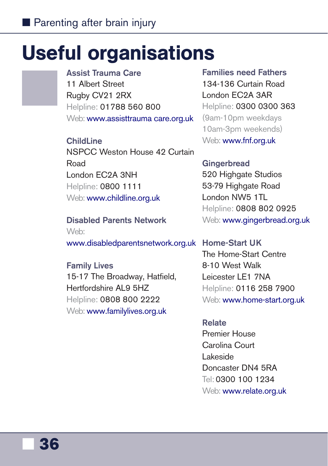## <span id="page-37-0"></span>Useful organisations

**Assist Trauma Care** 11 Albert Street Rugby CV21 2RX Helpline: 01788 560 800 Web: [www.assisttrauma](http://assisttraumacare.org.uk/) care.org.uk

**ChildLine** NSPCC Weston House 42 Curtain Road London EC2A 3NH Helpline: 0800 1111 Web: [www.childline.org.uk](https://www.childline.org.uk/)

**Disabled Parents Network** Web: [www.disabledparentsnetwork.org.uk](http://disabledparentsnetwork.org.uk/) **Home-Start UK**

**Family Lives** 15-17 The Broadway, Hatfield, Hertfordshire AL9 5HZ Helpline: 0808 800 2222 Web: [www.familylives.org.uk](http://www.familylives.org.uk/)

**Families need Fathers** 134-136 Curtain Road London EC2A 3AR Helpline: 0300 0300 363 (9am-10pm weekdays 10am-3pm weekends) Web: [www.fnf.org.uk](http://www.fnf.org.uk/)

**Gingerbread** 520 Highgate Studios 53-79 Highgate Road London NW5 1TL Helpline: 0808 802 0925 Web: [www.gingerbread.org.uk](https://gingerbread.org.uk/)

The Home-Start Centre 8-10 West Walk Leicester LE1 7NA Helpline: 0116 258 7900 Web: [www.home-start.org.uk](https://www.home-start.org.uk/)

#### **Relate**

Premier House Carolina Court Lakeside Doncaster DN4 5RA Tel: 0300 100 1234 Web: [www.relate.org.uk](https://www.relate.org.uk/)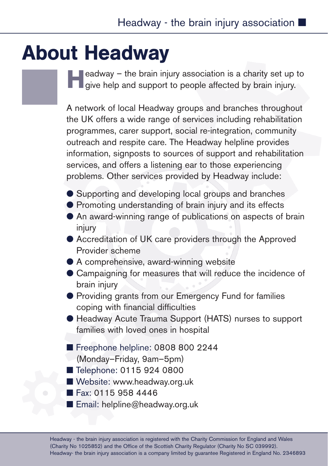## <span id="page-38-0"></span>About Headway

**Headway – the brain injury association is a charity set up to give help and support to people affected by brain injury.** 

A network of local Headway groups and branches throughout the UK offers a wide range of services including rehabilitation programmes, carer support, social re-integration, community outreach and respite care. The Headway helpline provides information, signposts to sources of support and rehabilitation services, and offers a listening ear to those experiencing problems. Other services provided by Headway include:

- Supporting and developing local groups and branches
- Promoting understanding of brain injury and its effects
- An award-winning range of publications on aspects of brain injury
- Accreditation of UK care providers through the Approved Provider scheme
- $\bullet$  A comprehensive, award-winning website
- Campaigning for measures that will reduce the incidence of brain injury
- Providing grants from our Emergency Fund for families coping with financial difficulties
- Headway Acute Trauma Support (HATS) nurses to support families with loved ones in hospital
- Freephone helpline: 0808 800 2244
- (Monday–Friday, 9am–5pm)
- Telephone: 0115 924 0800
- Website: www.headway.org.uk
- Fax: 0115 958 4446
- Email: helpline@headway.org.uk